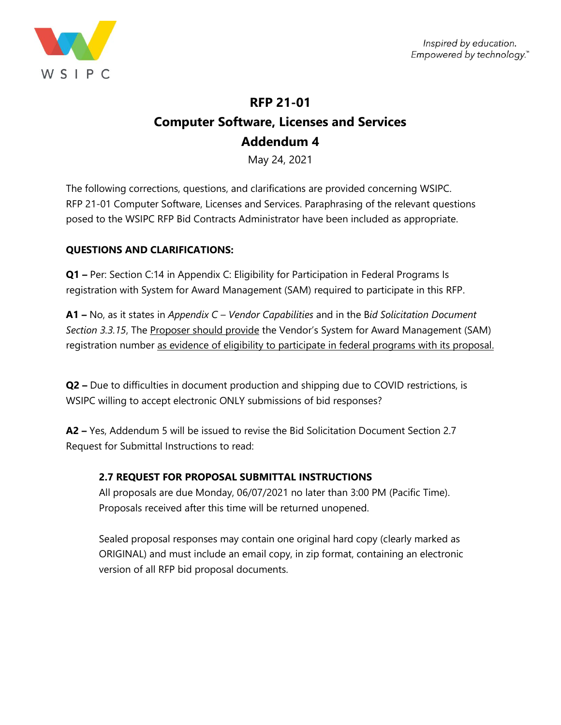

# **RFP 21-01 Computer Software, Licenses and Services Addendum 4**

May 24, 2021

The following corrections, questions, and clarifications are provided concerning WSIPC. RFP 21-01 Computer Software, Licenses and Services. Paraphrasing of the relevant questions posed to the WSIPC RFP Bid Contracts Administrator have been included as appropriate.

## **QUESTIONS AND CLARIFICATIONS:**

**Q1** – Per: Section C:14 in Appendix C: Eligibility for Participation in Federal Programs Is registration with System for Award Management (SAM) required to participate in this RFP.

**A1 –** No, as it states in *Appendix C – Vendor Capabilities* and in the B*id Solicitation Document*  Section 3.3.15, The Proposer should provide the Vendor's System for Award Management (SAM) registration number as evidence of eligibility to participate in federal programs with its proposal.

**Q2 –** Due to difficulties in document production and shipping due to COVID restrictions, is WSIPC willing to accept electronic ONLY submissions of bid responses?

**A2 –** Yes, Addendum 5 will be issued to revise the Bid Solicitation Document Section 2.7 Request for Submittal Instructions to read:

## **2.7 REQUEST FOR PROPOSAL SUBMITTAL INSTRUCTIONS**

All proposals are due Monday, 06/07/2021 no later than 3:00 PM (Pacific Time). Proposals received after this time will be returned unopened.

Sealed proposal responses may contain one original hard copy (clearly marked as ORIGINAL) and must include an email copy, in zip format, containing an electronic version of all RFP bid proposal documents.